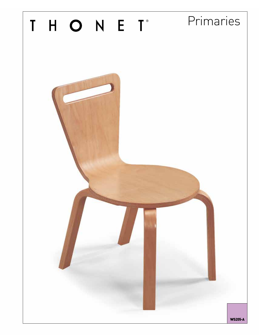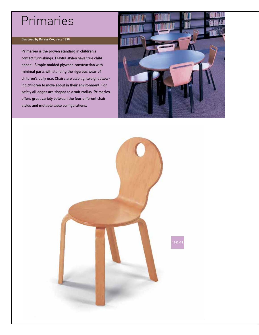# Primaries

# Designed by Dorsey Cox, circa 1990

Primaries is the proven standard in children's contact furnishings. Playful styles have true child appeal. Simple molded plywood construction with minimal parts withstanding the rigorous wear of children's daily use. Chairs are also lightweight allowing children to move about in their environment. For safety all edges are shaped to a soft radius. Primaries offers great variety between the four different chair styles and multiple table configurations.



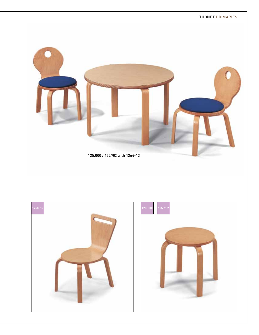